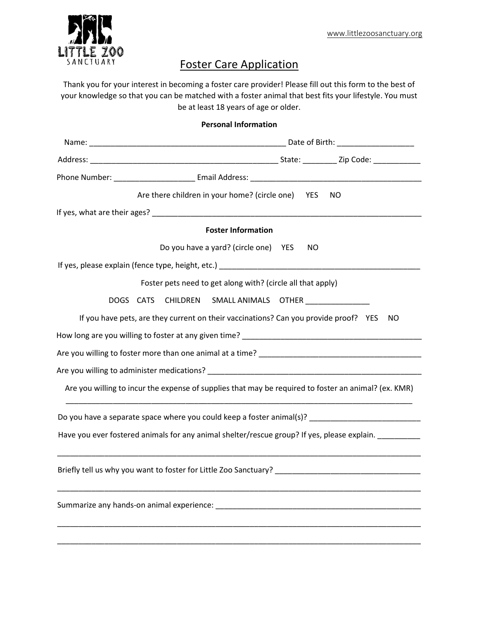

## Foster Care Application

Thank you for your interest in becoming a foster care provider! Please fill out this form to the best of your knowledge so that you can be matched with a foster animal that best fits your lifestyle. You must be at least 18 years of age or older.

| <b>Personal Information</b> |                                                                                                      |  |     |  |  |  |  |
|-----------------------------|------------------------------------------------------------------------------------------------------|--|-----|--|--|--|--|
|                             |                                                                                                      |  |     |  |  |  |  |
|                             |                                                                                                      |  |     |  |  |  |  |
|                             |                                                                                                      |  |     |  |  |  |  |
|                             | Are there children in your home? (circle one) YES                                                    |  | NO. |  |  |  |  |
|                             |                                                                                                      |  |     |  |  |  |  |
|                             | <b>Foster Information</b>                                                                            |  |     |  |  |  |  |
|                             | Do you have a yard? (circle one) YES                                                                 |  | NO. |  |  |  |  |
|                             |                                                                                                      |  |     |  |  |  |  |
|                             | Foster pets need to get along with? (circle all that apply)                                          |  |     |  |  |  |  |
|                             | DOGS CATS CHILDREN SMALLANIMALS OTHER                                                                |  |     |  |  |  |  |
|                             | If you have pets, are they current on their vaccinations? Can you provide proof? YES                 |  | NO. |  |  |  |  |
|                             |                                                                                                      |  |     |  |  |  |  |
|                             |                                                                                                      |  |     |  |  |  |  |
|                             |                                                                                                      |  |     |  |  |  |  |
|                             | Are you willing to incur the expense of supplies that may be required to foster an animal? (ex. KMR) |  |     |  |  |  |  |
|                             | Do you have a separate space where you could keep a foster animal(s)? _____________________________  |  |     |  |  |  |  |
|                             | Have you ever fostered animals for any animal shelter/rescue group? If yes, please explain.          |  |     |  |  |  |  |
|                             | Briefly tell us why you want to foster for Little Zoo Sanctuary?                                     |  |     |  |  |  |  |
|                             | Summarize any hands-on animal experience:                                                            |  |     |  |  |  |  |
|                             |                                                                                                      |  |     |  |  |  |  |